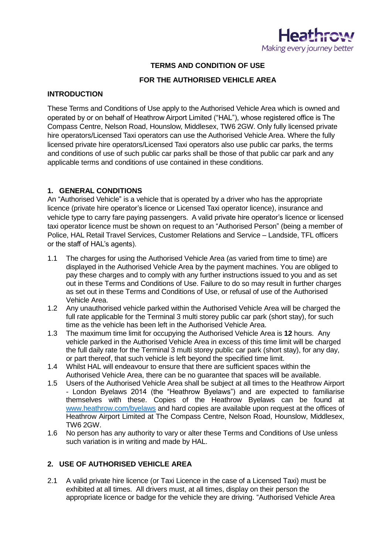

### **TERMS AND CONDITION OF USE**

### **FOR THE AUTHORISED VEHICLE AREA**

### **INTRODUCTION**

These Terms and Conditions of Use apply to the Authorised Vehicle Area which is owned and operated by or on behalf of Heathrow Airport Limited ("HAL"), whose registered office is The Compass Centre, Nelson Road, Hounslow, Middlesex, TW6 2GW. Only fully licensed private hire operators/Licensed Taxi operators can use the Authorised Vehicle Area. Where the fully licensed private hire operators/Licensed Taxi operators also use public car parks, the terms and conditions of use of such public car parks shall be those of that public car park and any applicable terms and conditions of use contained in these conditions.

### **1. GENERAL CONDITIONS**

An "Authorised Vehicle" is a vehicle that is operated by a driver who has the appropriate licence (private hire operator's licence or Licensed Taxi operator licence), insurance and vehicle type to carry fare paying passengers. A valid private hire operator's licence or licensed taxi operator licence must be shown on request to an "Authorised Person" (being a member of Police, HAL Retail Travel Services, Customer Relations and Service – Landside, TFL officers or the staff of HAL's agents).

- 1.1 The charges for using the Authorised Vehicle Area (as varied from time to time) are displayed in the Authorised Vehicle Area by the payment machines. You are obliged to pay these charges and to comply with any further instructions issued to you and as set out in these Terms and Conditions of Use. Failure to do so may result in further charges as set out in these Terms and Conditions of Use, or refusal of use of the Authorised Vehicle Area.
- 1.2 Any unauthorised vehicle parked within the Authorised Vehicle Area will be charged the full rate applicable for the Terminal 3 multi storey public car park (short stay), for such time as the vehicle has been left in the Authorised Vehicle Area.
- 1.3 The maximum time limit for occupying the Authorised Vehicle Area is **12** hours. Any vehicle parked in the Authorised Vehicle Area in excess of this time limit will be charged the full daily rate for the Terminal 3 multi storey public car park (short stay), for any day, or part thereof, that such vehicle is left beyond the specified time limit.
- 1.4 Whilst HAL will endeavour to ensure that there are sufficient spaces within the Authorised Vehicle Area, there can be no guarantee that spaces will be available.
- 1.5 Users of the Authorised Vehicle Area shall be subject at all times to the Heathrow Airport - London Byelaws 2014 (the "Heathrow Byelaws") and are expected to familiarise themselves with these. Copies of the Heathrow Byelaws can be found at [www.heathrow.com/byelaws](http://www.heathrow.com/byelaws) and hard copies are available upon request at the offices of Heathrow Airport Limited at The Compass Centre, Nelson Road, Hounslow, Middlesex, TW6 2GW.
- 1.6 No person has any authority to vary or alter these Terms and Conditions of Use unless such variation is in writing and made by HAL.

### **2. USE OF AUTHORISED VEHICLE AREA**

2.1 A valid private hire licence (or Taxi Licence in the case of a Licensed Taxi) must be exhibited at all times. All drivers must, at all times, display on their person the appropriate licence or badge for the vehicle they are driving. "Authorised Vehicle Area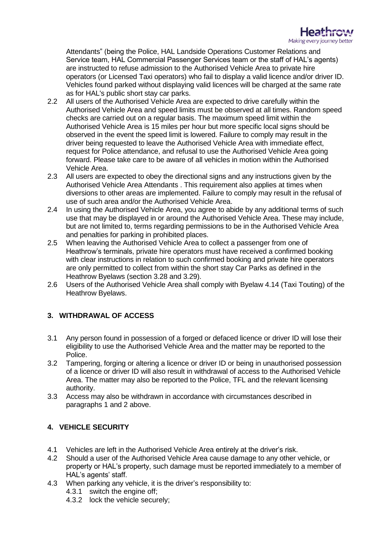

Attendants" (being the Police, HAL Landside Operations Customer Relations and Service team, HAL Commercial Passenger Services team or the staff of HAL's agents) are instructed to refuse admission to the Authorised Vehicle Area to private hire operators (or Licensed Taxi operators) who fail to display a valid licence and/or driver ID. Vehicles found parked without displaying valid licences will be charged at the same rate as for HAL's public short stay car parks.

- 2.2 All users of the Authorised Vehicle Area are expected to drive carefully within the Authorised Vehicle Area and speed limits must be observed at all times. Random speed checks are carried out on a regular basis. The maximum speed limit within the Authorised Vehicle Area is 15 miles per hour but more specific local signs should be observed in the event the speed limit is lowered. Failure to comply may result in the driver being requested to leave the Authorised Vehicle Area with immediate effect, request for Police attendance, and refusal to use the Authorised Vehicle Area going forward. Please take care to be aware of all vehicles in motion within the Authorised Vehicle Area.
- 2.3 All users are expected to obey the directional signs and any instructions given by the Authorised Vehicle Area Attendants . This requirement also applies at times when diversions to other areas are implemented. Failure to comply may result in the refusal of use of such area and/or the Authorised Vehicle Area.
- 2.4 In using the Authorised Vehicle Area, you agree to abide by any additional terms of such use that may be displayed in or around the Authorised Vehicle Area. These may include, but are not limited to, terms regarding permissions to be in the Authorised Vehicle Area and penalties for parking in prohibited places.
- 2.5 When leaving the Authorised Vehicle Area to collect a passenger from one of Heathrow's terminals, private hire operators must have received a confirmed booking with clear instructions in relation to such confirmed booking and private hire operators are only permitted to collect from within the short stay Car Parks as defined in the Heathrow Byelaws (section 3.28 and 3.29).
- 2.6 Users of the Authorised Vehicle Area shall comply with Byelaw 4.14 (Taxi Touting) of the Heathrow Byelaws.

# **3. WITHDRAWAL OF ACCESS**

- 3.1 Any person found in possession of a forged or defaced licence or driver ID will lose their eligibility to use the Authorised Vehicle Area and the matter may be reported to the Police.
- 3.2 Tampering, forging or altering a licence or driver ID or being in unauthorised possession of a licence or driver ID will also result in withdrawal of access to the Authorised Vehicle Area. The matter may also be reported to the Police, TFL and the relevant licensing authority.
- 3.3 Access may also be withdrawn in accordance with circumstances described in paragraphs 1 and 2 above.

# **4. VEHICLE SECURITY**

- 4.1 Vehicles are left in the Authorised Vehicle Area entirely at the driver's risk.
- 4.2 Should a user of the Authorised Vehicle Area cause damage to any other vehicle, or property or HAL's property, such damage must be reported immediately to a member of HAL's agents' staff.
- 4.3 When parking any vehicle, it is the driver's responsibility to:
	- 4.3.1 switch the engine off;
		- 4.3.2 lock the vehicle securely;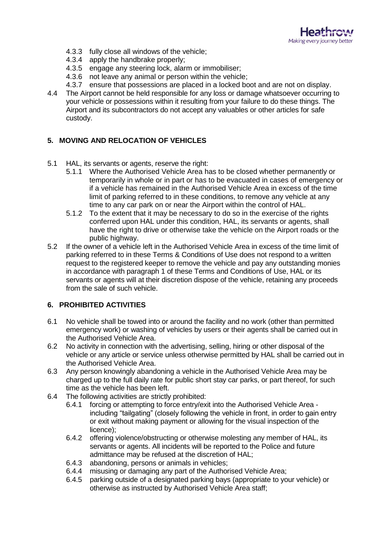

- 4.3.3 fully close all windows of the vehicle;
- 4.3.4 apply the handbrake properly;
- 4.3.5 engage any steering lock, alarm or immobiliser;
- 4.3.6 not leave any animal or person within the vehicle;
- 4.3.7 ensure that possessions are placed in a locked boot and are not on display.
- 4.4 The Airport cannot be held responsible for any loss or damage whatsoever occurring to your vehicle or possessions within it resulting from your failure to do these things. The Airport and its subcontractors do not accept any valuables or other articles for safe custody.

### **5. MOVING AND RELOCATION OF VEHICLES**

- 5.1 HAL, its servants or agents, reserve the right:
	- 5.1.1 Where the Authorised Vehicle Area has to be closed whether permanently or temporarily in whole or in part or has to be evacuated in cases of emergency or if a vehicle has remained in the Authorised Vehicle Area in excess of the time limit of parking referred to in these conditions, to remove any vehicle at any time to any car park on or near the Airport within the control of HAL.
	- 5.1.2 To the extent that it may be necessary to do so in the exercise of the rights conferred upon HAL under this condition, HAL, its servants or agents, shall have the right to drive or otherwise take the vehicle on the Airport roads or the public highway.
- 5.2 If the owner of a vehicle left in the Authorised Vehicle Area in excess of the time limit of parking referred to in these Terms & Conditions of Use does not respond to a written request to the registered keeper to remove the vehicle and pay any outstanding monies in accordance with paragraph 1 of these Terms and Conditions of Use, HAL or its servants or agents will at their discretion dispose of the vehicle, retaining any proceeds from the sale of such vehicle.

### **6. PROHIBITED ACTIVITIES**

- 6.1 No vehicle shall be towed into or around the facility and no work (other than permitted emergency work) or washing of vehicles by users or their agents shall be carried out in the Authorised Vehicle Area.
- 6.2 No activity in connection with the advertising, selling, hiring or other disposal of the vehicle or any article or service unless otherwise permitted by HAL shall be carried out in the Authorised Vehicle Area.
- 6.3 Any person knowingly abandoning a vehicle in the Authorised Vehicle Area may be charged up to the full daily rate for public short stay car parks, or part thereof, for such time as the vehicle has been left.
- 6.4 The following activities are strictly prohibited:
	- 6.4.1 forcing or attempting to force entry/exit into the Authorised Vehicle Area including "tailgating" (closely following the vehicle in front, in order to gain entry or exit without making payment or allowing for the visual inspection of the licence);
	- 6.4.2 offering violence/obstructing or otherwise molesting any member of HAL, its servants or agents. All incidents will be reported to the Police and future admittance may be refused at the discretion of HAL;
	- 6.4.3 abandoning, persons or animals in vehicles;
	- 6.4.4 misusing or damaging any part of the Authorised Vehicle Area;
	- 6.4.5 parking outside of a designated parking bays (appropriate to your vehicle) or otherwise as instructed by Authorised Vehicle Area staff;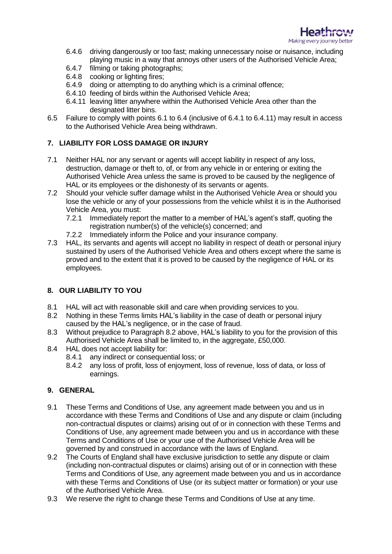

- 6.4.6 driving dangerously or too fast; making unnecessary noise or nuisance, including playing music in a way that annoys other users of the Authorised Vehicle Area;
- 6.4.7 filming or taking photographs;
- 6.4.8 cooking or lighting fires;
- 6.4.9 doing or attempting to do anything which is a criminal offence;
- 6.4.10 feeding of birds within the Authorised Vehicle Area;
- 6.4.11 leaving litter anywhere within the Authorised Vehicle Area other than the designated litter bins.
- 6.5 Failure to comply with points 6.1 to 6.4 (inclusive of 6.4.1 to 6.4.11) may result in access to the Authorised Vehicle Area being withdrawn.

# **7. LIABILITY FOR LOSS DAMAGE OR INJURY**

- 7.1 Neither HAL nor any servant or agents will accept liability in respect of any loss, destruction, damage or theft to, of, or from any vehicle in or entering or exiting the Authorised Vehicle Area unless the same is proved to be caused by the negligence of HAL or its employees or the dishonesty of its servants or agents.
- 7.2 Should your vehicle suffer damage whilst in the Authorised Vehicle Area or should you lose the vehicle or any of your possessions from the vehicle whilst it is in the Authorised Vehicle Area, you must:
	- 7.2.1 Immediately report the matter to a member of HAL's agent's staff, quoting the registration number(s) of the vehicle(s) concerned; and
	- 7.2.2 Immediately inform the Police and your insurance company.
- 7.3 HAL, its servants and agents will accept no liability in respect of death or personal injury sustained by users of the Authorised Vehicle Area and others except where the same is proved and to the extent that it is proved to be caused by the negligence of HAL or its employees.

# **8. OUR LIABILITY TO YOU**

- 8.1 HAL will act with reasonable skill and care when providing services to you.
- 8.2 Nothing in these Terms limits HAL's liability in the case of death or personal injury caused by the HAL's negligence, or in the case of fraud.
- 8.3 Without prejudice to Paragraph 8.2 above, HAL's liability to you for the provision of this Authorised Vehicle Area shall be limited to, in the aggregate, £50,000.
- 8.4 HAL does not accept liability for:
	- 8.4.1 any indirect or consequential loss; or
	- 8.4.2 any loss of profit, loss of enjoyment, loss of revenue, loss of data, or loss of earnings.

### **9. GENERAL**

- 9.1 These Terms and Conditions of Use, any agreement made between you and us in accordance with these Terms and Conditions of Use and any dispute or claim (including non-contractual disputes or claims) arising out of or in connection with these Terms and Conditions of Use, any agreement made between you and us in accordance with these Terms and Conditions of Use or your use of the Authorised Vehicle Area will be governed by and construed in accordance with the laws of England.
- 9.2 The Courts of England shall have exclusive jurisdiction to settle any dispute or claim (including non-contractual disputes or claims) arising out of or in connection with these Terms and Conditions of Use, any agreement made between you and us in accordance with these Terms and Conditions of Use (or its subject matter or formation) or your use of the Authorised Vehicle Area.
- 9.3 We reserve the right to change these Terms and Conditions of Use at any time.